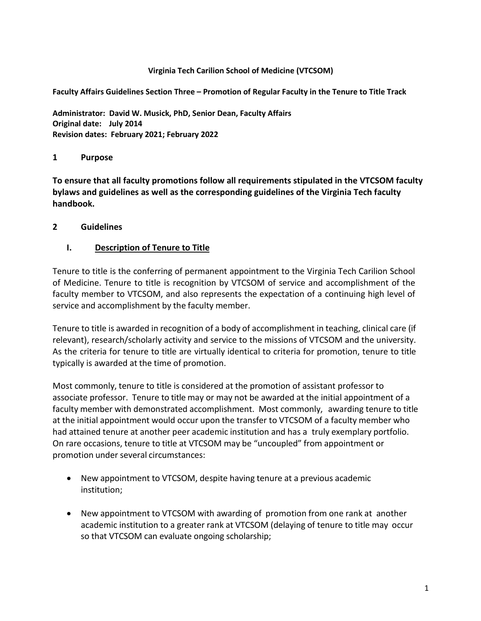#### **Virginia Tech Carilion School of Medicine (VTCSOM)**

**Faculty Affairs Guidelines Section Three – Promotion of Regular Faculty in the Tenure to Title Track**

**Administrator: David W. Musick, PhD, Senior Dean, Faculty Affairs Original date: July 2014 Revision dates: February 2021; February 2022**

### **1 Purpose**

**To ensure that all faculty promotions follow all requirements stipulated in the VTCSOM faculty bylaws and guidelines as well as the corresponding guidelines of the Virginia Tech faculty handbook.**

### **2 Guidelines**

## **I. Description of Tenure to Title**

Tenure to title is the conferring of permanent appointment to the Virginia Tech Carilion School of Medicine. Tenure to title is recognition by VTCSOM of service and accomplishment of the faculty member to VTCSOM, and also represents the expectation of a continuing high level of service and accomplishment by the faculty member.

Tenure to title is awarded in recognition of a body of accomplishment in teaching, clinical care (if relevant), research/scholarly activity and service to the missions of VTCSOM and the university. As the criteria for tenure to title are virtually identical to criteria for promotion, tenure to title typically is awarded at the time of promotion.

Most commonly, tenure to title is considered at the promotion of assistant professor to associate professor. Tenure to title may or may not be awarded at the initial appointment of a faculty member with demonstrated accomplishment. Most commonly, awarding tenure to title at the initial appointment would occur upon the transfer to VTCSOM of a faculty member who had attained tenure at another peer academic institution and has a truly exemplary portfolio. On rare occasions, tenure to title at VTCSOM may be "uncoupled" from appointment or promotion under several circumstances:

- New appointment to VTCSOM, despite having tenure at a previous academic institution;
- New appointment to VTCSOM with awarding of promotion from one rank at another academic institution to a greater rank at VTCSOM (delaying of tenure to title may occur so that VTCSOM can evaluate ongoing scholarship;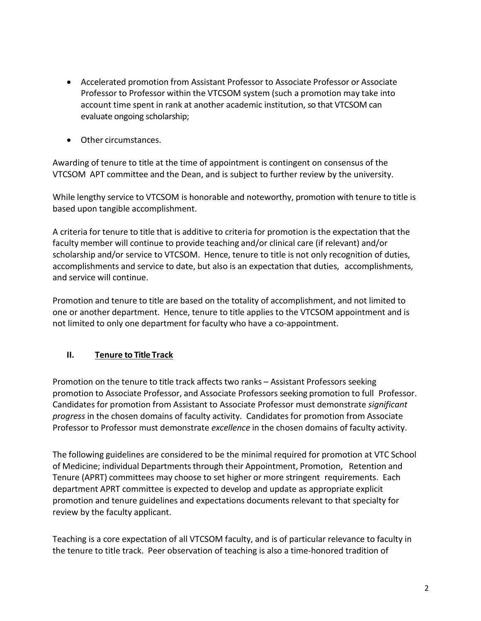- Accelerated promotion from Assistant Professor to Associate Professor or Associate Professor to Professor within the VTCSOM system (such a promotion may take into account time spent in rank at another academic institution, so that VTCSOM can evaluate ongoing scholarship;
- Other circumstances.

Awarding of tenure to title at the time of appointment is contingent on consensus of the VTCSOM APT committee and the Dean, and is subject to further review by the university.

While lengthy service to VTCSOM is honorable and noteworthy, promotion with tenure to title is based upon tangible accomplishment.

A criteria for tenure to title that is additive to criteria for promotion is the expectation that the faculty member will continue to provide teaching and/or clinical care (if relevant) and/or scholarship and/or service to VTCSOM. Hence, tenure to title is not only recognition of duties, accomplishments and service to date, but also is an expectation that duties, accomplishments, and service will continue.

Promotion and tenure to title are based on the totality of accomplishment, and not limited to one or another department. Hence, tenure to title applies to the VTCSOM appointment and is not limited to only one department for faculty who have a co-appointment.

# **II. Tenure to Title Track**

Promotion on the tenure to title track affects two ranks – Assistant Professors seeking promotion to Associate Professor, and Associate Professors seeking promotion to full Professor. Candidates for promotion from Assistant to Associate Professor must demonstrate *significant progress* in the chosen domains of faculty activity. Candidates for promotion from Associate Professor to Professor must demonstrate *excellence* in the chosen domains of faculty activity.

The following guidelines are considered to be the minimal required for promotion at VTC School of Medicine; individual Departments through their Appointment, Promotion, Retention and Tenure (APRT) committees may choose to set higher or more stringent requirements. Each department APRT committee is expected to develop and update as appropriate explicit promotion and tenure guidelines and expectations documents relevant to that specialty for review by the faculty applicant.

Teaching is a core expectation of all VTCSOM faculty, and is of particular relevance to faculty in the tenure to title track. Peer observation of teaching is also a time-honored tradition of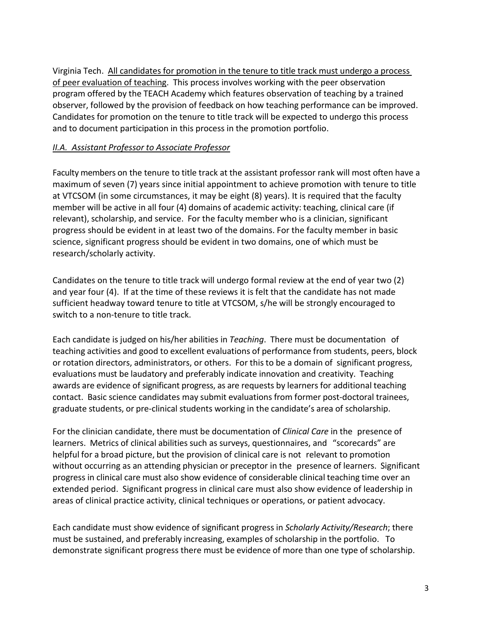Virginia Tech. All candidates for promotion in the tenure to title track must undergo a process of peer evaluation of teaching. This process involves working with the peer observation program offered by the TEACH Academy which features observation of teaching by a trained observer, followed by the provision of feedback on how teaching performance can be improved. Candidates for promotion on the tenure to title track will be expected to undergo this process and to document participation in this process in the promotion portfolio.

### *II.A. Assistant Professor to Associate Professor*

Faculty members on the tenure to title track at the assistant professor rank will most often have a maximum of seven (7) years since initial appointment to achieve promotion with tenure to title at VTCSOM (in some circumstances, it may be eight (8) years). It is required that the faculty member will be active in all four (4) domains of academic activity: teaching, clinical care (if relevant), scholarship, and service. For the faculty member who is a clinician, significant progress should be evident in at least two of the domains. For the faculty member in basic science, significant progress should be evident in two domains, one of which must be research/scholarly activity.

Candidates on the tenure to title track will undergo formal review at the end of year two (2) and year four (4). If at the time of these reviews it is felt that the candidate has not made sufficient headway toward tenure to title at VTCSOM, s/he will be strongly encouraged to switch to a non-tenure to title track.

Each candidate is judged on his/her abilities in *Teaching*. There must be documentation of teaching activities and good to excellent evaluations of performance from students, peers, block or rotation directors, administrators, or others. For this to be a domain of significant progress, evaluations must be laudatory and preferably indicate innovation and creativity. Teaching awards are evidence of significant progress, as are requests by learners for additional teaching contact. Basic science candidates may submit evaluations from former post-doctoral trainees, graduate students, or pre-clinical students working in the candidate's area of scholarship.

For the clinician candidate, there must be documentation of *Clinical Care* in the presence of learners. Metrics of clinical abilities such as surveys, questionnaires, and "scorecards" are helpful for a broad picture, but the provision of clinical care is not relevant to promotion without occurring as an attending physician or preceptor in the presence of learners. Significant progress in clinical care must also show evidence of considerable clinical teaching time over an extended period. Significant progress in clinical care must also show evidence of leadership in areas of clinical practice activity, clinical techniques or operations, or patient advocacy.

Each candidate must show evidence of significant progress in *Scholarly Activity/Research*; there must be sustained, and preferably increasing, examples of scholarship in the portfolio. To demonstrate significant progress there must be evidence of more than one type of scholarship.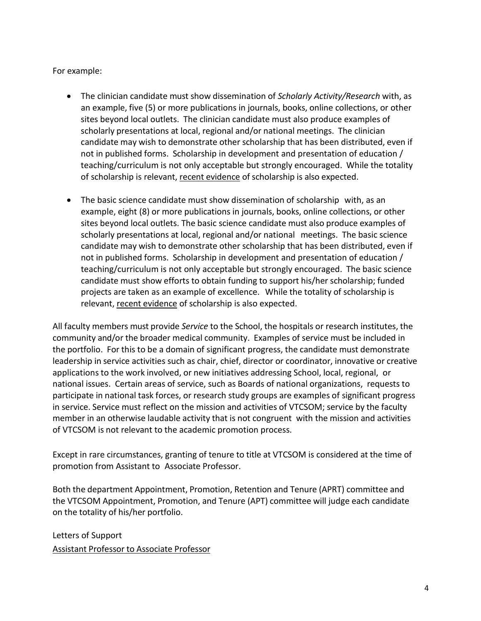For example:

- The clinician candidate must show dissemination of *Scholarly Activity/Research* with, as an example, five (5) or more publications in journals, books, online collections, or other sites beyond local outlets. The clinician candidate must also produce examples of scholarly presentations at local, regional and/or national meetings. The clinician candidate may wish to demonstrate other scholarship that has been distributed, even if not in published forms. Scholarship in development and presentation of education / teaching/curriculum is not only acceptable but strongly encouraged. While the totality of scholarship is relevant, recent evidence of scholarship is also expected.
- The basic science candidate must show dissemination of scholarship with, as an example, eight (8) or more publications in journals, books, online collections, or other sites beyond local outlets. The basic science candidate must also produce examples of scholarly presentations at local, regional and/or national meetings. The basic science candidate may wish to demonstrate other scholarship that has been distributed, even if not in published forms. Scholarship in development and presentation of education / teaching/curriculum is not only acceptable but strongly encouraged. The basic science candidate must show efforts to obtain funding to support his/her scholarship; funded projects are taken as an example of excellence. While the totality of scholarship is relevant, recent evidence of scholarship is also expected.

All faculty members must provide *Service* to the School, the hospitals or research institutes, the community and/or the broader medical community. Examples of service must be included in the portfolio. For this to be a domain of significant progress, the candidate must demonstrate leadership in service activities such as chair, chief, director or coordinator, innovative or creative applications to the work involved, or new initiatives addressing School, local, regional, or national issues. Certain areas of service, such as Boards of national organizations, requests to participate in national task forces, or research study groups are examples of significant progress in service. Service must reflect on the mission and activities of VTCSOM; service by the faculty member in an otherwise laudable activity that is not congruent with the mission and activities of VTCSOM is not relevant to the academic promotion process.

Except in rare circumstances, granting of tenure to title at VTCSOM is considered at the time of promotion from Assistant to Associate Professor.

Both the department Appointment, Promotion, Retention and Tenure (APRT) committee and the VTCSOM Appointment, Promotion, and Tenure (APT) committee will judge each candidate on the totality of his/her portfolio.

Letters of Support Assistant Professor to Associate Professor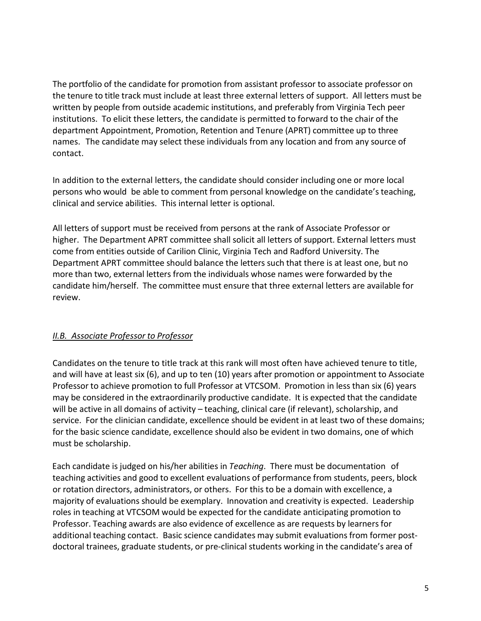The portfolio of the candidate for promotion from assistant professor to associate professor on the tenure to title track must include at least three external letters of support. All letters must be written by people from outside academic institutions, and preferably from Virginia Tech peer institutions. To elicit these letters, the candidate is permitted to forward to the chair of the department Appointment, Promotion, Retention and Tenure (APRT) committee up to three names. The candidate may select these individuals from any location and from any source of contact.

In addition to the external letters, the candidate should consider including one or more local persons who would be able to comment from personal knowledge on the candidate's teaching, clinical and service abilities. This internal letter is optional.

All letters of support must be received from persons at the rank of Associate Professor or higher. The Department APRT committee shall solicit all letters of support. External letters must come from entities outside of Carilion Clinic, Virginia Tech and Radford University. The Department APRT committee should balance the letters such that there is at least one, but no more than two, external letters from the individuals whose names were forwarded by the candidate him/herself. The committee must ensure that three external letters are available for review.

# *II.B. Associate Professor to Professor*

Candidates on the tenure to title track at this rank will most often have achieved tenure to title, and will have at least six (6), and up to ten (10) years after promotion or appointment to Associate Professor to achieve promotion to full Professor at VTCSOM. Promotion in less than six (6) years may be considered in the extraordinarily productive candidate. It is expected that the candidate will be active in all domains of activity – teaching, clinical care (if relevant), scholarship, and service. For the clinician candidate, excellence should be evident in at least two of these domains; for the basic science candidate, excellence should also be evident in two domains, one of which must be scholarship.

Each candidate is judged on his/her abilities in *Teaching*. There must be documentation of teaching activities and good to excellent evaluations of performance from students, peers, block or rotation directors, administrators, or others. For this to be a domain with excellence, a majority of evaluations should be exemplary. Innovation and creativity is expected. Leadership roles in teaching at VTCSOM would be expected for the candidate anticipating promotion to Professor. Teaching awards are also evidence of excellence as are requests by learners for additional teaching contact. Basic science candidates may submit evaluationsfrom former postdoctoral trainees, graduate students, or pre-clinical students working in the candidate's area of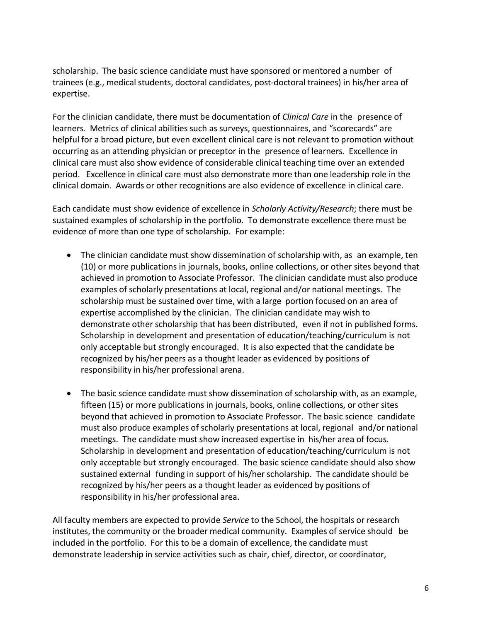scholarship. The basic science candidate must have sponsored or mentored a number of trainees (e.g., medical students, doctoral candidates, post-doctoral trainees) in his/her area of expertise.

For the clinician candidate, there must be documentation of *Clinical Care* in the presence of learners. Metrics of clinical abilities such as surveys, questionnaires, and "scorecards" are helpful for a broad picture, but even excellent clinical care is not relevant to promotion without occurring as an attending physician or preceptor in the presence of learners. Excellence in clinical care must also show evidence of considerable clinical teaching time over an extended period. Excellence in clinical care must also demonstrate more than one leadership role in the clinical domain. Awards or other recognitions are also evidence of excellence in clinical care.

Each candidate must show evidence of excellence in *Scholarly Activity/Research*; there must be sustained examples of scholarship in the portfolio. To demonstrate excellence there must be evidence of more than one type of scholarship. For example:

- The clinician candidate must show dissemination of scholarship with, as an example, ten (10) or more publications in journals, books, online collections, or other sites beyond that achieved in promotion to Associate Professor. The clinician candidate must also produce examples of scholarly presentations at local, regional and/or national meetings. The scholarship must be sustained over time, with a large portion focused on an area of expertise accomplished by the clinician. The clinician candidate may wish to demonstrate other scholarship that has been distributed, even if not in published forms. Scholarship in development and presentation of education/teaching/curriculum is not only acceptable but strongly encouraged. It is also expected that the candidate be recognized by his/her peers as a thought leader as evidenced by positions of responsibility in his/her professional arena.
- The basic science candidate must show dissemination of scholarship with, as an example, fifteen (15) or more publications in journals, books, online collections, or other sites beyond that achieved in promotion to Associate Professor. The basic science candidate must also produce examples of scholarly presentations at local, regional and/or national meetings. The candidate must show increased expertise in his/her area of focus. Scholarship in development and presentation of education/teaching/curriculum is not only acceptable but strongly encouraged. The basic science candidate should also show sustained external funding in support of his/her scholarship. The candidate should be recognized by his/her peers as a thought leader as evidenced by positions of responsibility in his/her professional area.

All faculty members are expected to provide *Service* to the School, the hospitals or research institutes, the community or the broader medical community. Examples of service should be included in the portfolio. For this to be a domain of excellence, the candidate must demonstrate leadership in service activities such as chair, chief, director, or coordinator,